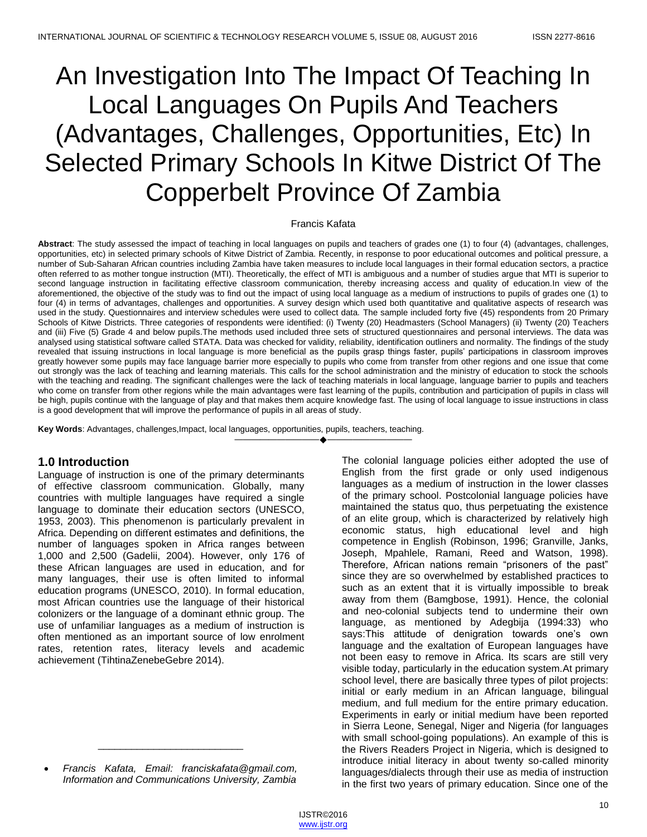# An Investigation Into The Impact Of Teaching In Local Languages On Pupils And Teachers (Advantages, Challenges, Opportunities, Etc) In Selected Primary Schools In Kitwe District Of The Copperbelt Province Of Zambia

#### Francis Kafata

**Abstract**: The study assessed the impact of teaching in local languages on pupils and teachers of grades one (1) to four (4) (advantages, challenges, opportunities, etc) in selected primary schools of Kitwe District of Zambia. Recently, in response to poor educational outcomes and political pressure, a number of Sub-Saharan African countries including Zambia have taken measures to include local languages in their formal education sectors, a practice often referred to as mother tongue instruction (MTI). Theoretically, the effect of MTI is ambiguous and a number of studies argue that MTI is superior to second language instruction in facilitating effective classroom communication, thereby increasing access and quality of education.In view of the aforementioned, the objective of the study was to find out the impact of using local language as a medium of instructions to pupils of grades one (1) to four (4) in terms of advantages, challenges and opportunities. A survey design which used both quantitative and qualitative aspects of research was used in the study. Questionnaires and interview schedules were used to collect data. The sample included forty five (45) respondents from 20 Primary Schools of Kitwe Districts. Three categories of respondents were identified: (i) Twenty (20) Headmasters (School Managers) (ii) Twenty (20) Teachers and (iii) Five (5) Grade 4 and below pupils.The methods used included three sets of structured questionnaires and personal interviews. The data was analysed using statistical software called STATA. Data was checked for validity, reliability, identification outliners and normality. The findings of the study revealed that issuing instructions in local language is more beneficial as the pupils grasp things faster, pupils' participations in classroom improves greatly however some pupils may face language barrier more especially to pupils who come from transfer from other regions and one issue that come out strongly was the lack of teaching and learning materials. This calls for the school administration and the ministry of education to stock the schools with the teaching and reading. The significant challenges were the lack of teaching materials in local language, language barrier to pupils and teachers who come on transfer from other regions while the main advantages were fast learning of the pupils, contribution and participation of pupils in class will be high, pupils continue with the language of play and that makes them acquire knowledge fast. The using of local language to issue instructions in class is a good development that will improve the performance of pupils in all areas of study.

————————————————————

**Key Words**: Advantages, challenges,Impact, local languages, opportunities, pupils, teachers, teaching.

# **1.0 Introduction**

Language of instruction is one of the primary determinants of effective classroom communication. Globally, many countries with multiple languages have required a single language to dominate their education sectors (UNESCO, 1953, 2003). This phenomenon is particularly prevalent in Africa. Depending on different estimates and definitions, the number of languages spoken in Africa ranges between 1,000 and 2,500 (Gadelii, 2004). However, only 176 of these African languages are used in education, and for many languages, their use is often limited to informal education programs (UNESCO, 2010). In formal education, most African countries use the language of their historical colonizers or the language of a dominant ethnic group. The use of unfamiliar languages as a medium of instruction is often mentioned as an important source of low enrolment rates, retention rates, literacy levels and academic achievement (TihtinaZenebeGebre 2014).

 *Francis Kafata, Email: franciskafata@gmail.com, Information and Communications University, Zambia*

\_\_\_\_\_\_\_\_\_\_\_\_\_\_\_\_\_\_\_\_\_\_\_\_\_\_

The colonial language policies either adopted the use of English from the first grade or only used indigenous languages as a medium of instruction in the lower classes of the primary school. Postcolonial language policies have maintained the status quo, thus perpetuating the existence of an elite group, which is characterized by relatively high economic status, high educational level and high competence in English (Robinson, 1996; Granville, Janks, Joseph, Mpahlele, Ramani, Reed and Watson, 1998). Therefore, African nations remain "prisoners of the past" since they are so overwhelmed by established practices to such as an extent that it is virtually impossible to break away from them (Bamgbose, 1991). Hence, the colonial and neo-colonial subjects tend to undermine their own language, as mentioned by Adegbija (1994:33) who says:This attitude of denigration towards one's own language and the exaltation of European languages have not been easy to remove in Africa. Its scars are still very visible today, particularly in the education system.At primary school level, there are basically three types of pilot projects: initial or early medium in an African language, bilingual medium, and full medium for the entire primary education. Experiments in early or initial medium have been reported in Sierra Leone, Senegal, Niger and Nigeria (for languages with small school-going populations). An example of this is the Rivers Readers Project in Nigeria, which is designed to introduce initial literacy in about twenty so-called minority languages/dialects through their use as media of instruction in the first two years of primary education. Since one of the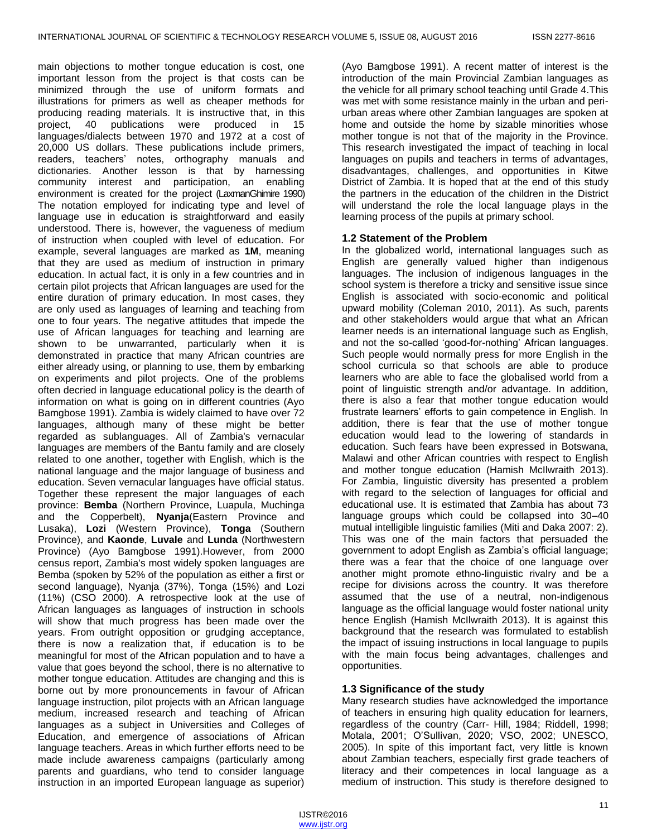main objections to mother tongue education is cost, one important lesson from the project is that costs can be minimized through the use of uniform formats and illustrations for primers as well as cheaper methods for producing reading materials. It is instructive that, in this project, 40 publications were produced in 15 languages/dialects between 1970 and 1972 at a cost of 20,000 US dollars. These publications include primers, readers, teachers' notes, orthography manuals and dictionaries. Another lesson is that by harnessing community interest and participation, an enabling environment is created for the project (LaxmanGhimire 1990) The notation employed for indicating type and level of language use in education is straightforward and easily understood. There is, however, the vagueness of medium of instruction when coupled with level of education. For example, several languages are marked as **1M**, meaning that they are used as medium of instruction in primary education. In actual fact, it is only in a few countries and in certain pilot projects that African languages are used for the entire duration of primary education. In most cases, they are only used as languages of learning and teaching from one to four years. The negative attitudes that impede the use of African languages for teaching and learning are shown to be unwarranted, particularly when it is demonstrated in practice that many African countries are either already using, or planning to use, them by embarking on experiments and pilot projects. One of the problems often decried in language educational policy is the dearth of information on what is going on in different countries (Ayo Bamgbose 1991). [Zambia](http://en.wikipedia.org/wiki/Zambia) is widely claimed to have over 72 languages, although many of these might be better regarded as sublanguages. All of Zambia's vernacular languages are members of the [Bantu family](http://en.wikipedia.org/wiki/Bantu_languages) and are closely related to one another, together with English, which is the national language and the major language of business and education. Seven vernacular languages have official status. Together these represent the major languages of each province: **Bemba** (Northern Province, Luapula, Muchinga and the Copperbelt), **Nyanja**(Eastern Province and Lusaka), **Lozi** (Western Province), **Tonga** (Southern Province), and **Kaonde**, **Luvale** and **Lunda** (Northwestern Province) (Ayo Bamgbose 1991).However, from 2000 census report, Zambia's most widely spoken languages are [Bemba](http://en.wikipedia.org/wiki/Bemba_language) (spoken by 52% of the population as either a first or second language), [Nyanja](http://en.wikipedia.org/wiki/Nyanja_language) (37%), [Tonga](http://en.wikipedia.org/wiki/Tonga_language_(Zambia)) (15%) and [Lozi](http://en.wikipedia.org/wiki/Lozi_language) (11%) (CSO 2000). A retrospective look at the use of African languages as languages of instruction in schools will show that much progress has been made over the years. From outright opposition or grudging acceptance, there is now a realization that, if education is to be meaningful for most of the African population and to have a value that goes beyond the school, there is no alternative to mother tongue education. Attitudes are changing and this is borne out by more pronouncements in favour of African language instruction, pilot projects with an African language medium, increased research and teaching of African languages as a subject in Universities and Colleges of Education, and emergence of associations of African language teachers. Areas in which further efforts need to be made include awareness campaigns (particularly among parents and guardians, who tend to consider language instruction in an imported European language as superior)

(Ayo Bamgbose 1991). A recent matter of interest is the introduction of the main Provincial Zambian languages as the vehicle for all primary school teaching until Grade 4.This was met with some resistance mainly in the urban and periurban areas where other Zambian languages are spoken at home and outside the home by sizable minorities whose mother tongue is not that of the majority in the Province. This research investigated the impact of teaching in local languages on pupils and teachers in terms of advantages, disadvantages, challenges, and opportunities in Kitwe District of Zambia. It is hoped that at the end of this study the partners in the education of the children in the District will understand the role the local language plays in the learning process of the pupils at primary school.

#### **1.2 Statement of the Problem**

In the globalized world, international languages such as English are generally valued higher than indigenous languages. The inclusion of indigenous languages in the school system is therefore a tricky and sensitive issue since English is associated with socio-economic and political upward mobility (Coleman 2010, 2011). As such, parents and other stakeholders would argue that what an African learner needs is an international language such as English, and not the so-called 'good-for-nothing' African languages. Such people would normally press for more English in the school curricula so that schools are able to produce learners who are able to face the globalised world from a point of linguistic strength and/or advantage. In addition, there is also a fear that mother tongue education would frustrate learners' efforts to gain competence in English. In addition, there is fear that the use of mother tongue education would lead to the lowering of standards in education. Such fears have been expressed in Botswana, Malawi and other African countries with respect to English and mother tongue education (Hamish McIlwraith 2013). For Zambia, linguistic diversity has presented a problem with regard to the selection of languages for official and educational use. It is estimated that Zambia has about 73 language groups which could be collapsed into 30–40 mutual intelligible linguistic families (Miti and Daka 2007: 2). This was one of the main factors that persuaded the government to adopt English as Zambia's official language; there was a fear that the choice of one language over another might promote ethno-linguistic rivalry and be a recipe for divisions across the country. It was therefore assumed that the use of a neutral, non-indigenous language as the official language would foster national unity hence English (Hamish McIlwraith 2013). It is against this background that the research was formulated to establish the impact of issuing instructions in local language to pupils with the main focus being advantages, challenges and opportunities.

#### **1.3 Significance of the study**

Many research studies have acknowledged the importance of teachers in ensuring high quality education for learners, regardless of the country (Carr- Hill, 1984; Riddell, 1998; Motala, 2001; O'Sullivan, 2020; VSO, 2002; UNESCO, 2005). In spite of this important fact, very little is known about Zambian teachers, especially first grade teachers of literacy and their competences in local language as a medium of instruction. This study is therefore designed to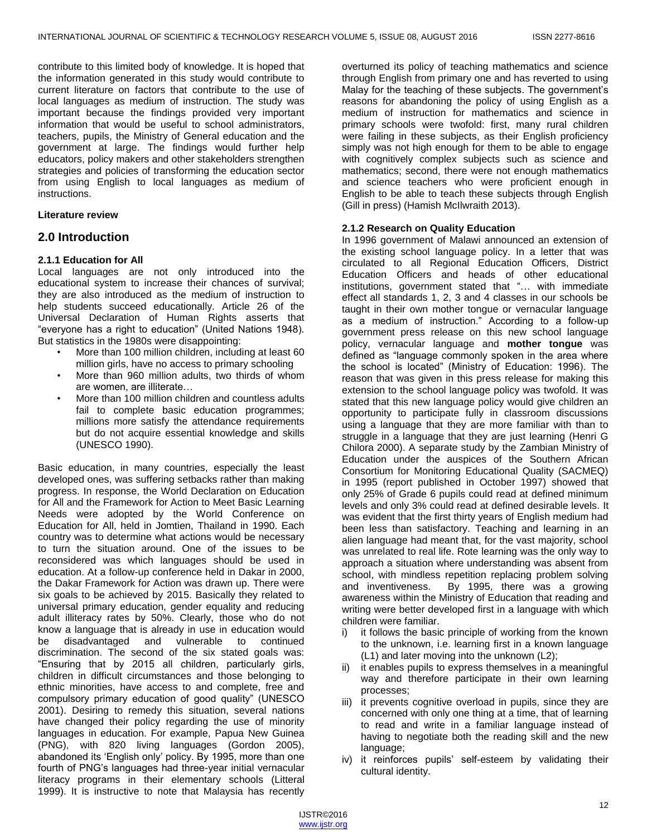contribute to this limited body of knowledge. It is hoped that the information generated in this study would contribute to current literature on factors that contribute to the use of local languages as medium of instruction. The study was important because the findings provided very important information that would be useful to school administrators, teachers, pupils, the Ministry of General education and the government at large. The findings would further help educators, policy makers and other stakeholders strengthen strategies and policies of transforming the education sector from using English to local languages as medium of instructions.

#### **Literature review**

## **2.0 Introduction**

## **2.1.1 Education for All**

Local languages are not only introduced into the educational system to increase their chances of survival; they are also introduced as the medium of instruction to help students succeed educationally. Article 26 of the Universal Declaration of Human Rights asserts that "everyone has a right to education" (United Nations 1948). But statistics in the 1980s were disappointing:

- More than 100 million children, including at least 60 million girls, have no access to primary schooling
- More than 960 million adults, two thirds of whom are women, are illiterate…
- More than 100 million children and countless adults fail to complete basic education programmes; millions more satisfy the attendance requirements but do not acquire essential knowledge and skills (UNESCO 1990).

Basic education, in many countries, especially the least developed ones, was suffering setbacks rather than making progress. In response, the World Declaration on Education for All and the Framework for Action to Meet Basic Learning Needs were adopted by the World Conference on Education for All, held in Jomtien, Thailand in 1990. Each country was to determine what actions would be necessary to turn the situation around. One of the issues to be reconsidered was which languages should be used in education. At a follow-up conference held in Dakar in 2000, the Dakar Framework for Action was drawn up. There were six goals to be achieved by 2015. Basically they related to universal primary education, gender equality and reducing adult illiteracy rates by 50%. Clearly, those who do not know a language that is already in use in education would be disadvantaged and vulnerable to continued discrimination. The second of the six stated goals was: ―Ensuring that by 2015 all children, particularly girls, children in difficult circumstances and those belonging to ethnic minorities, have access to and complete, free and compulsory primary education of good quality" (UNESCO 2001). Desiring to remedy this situation, several nations have changed their policy regarding the use of minority languages in education. For example, Papua New Guinea (PNG), with 820 living languages (Gordon 2005), abandoned its 'English only' policy. By 1995, more than one fourth of PNG's languages had three-year initial vernacular literacy programs in their elementary schools (Litteral 1999). It is instructive to note that Malaysia has recently

overturned its policy of teaching mathematics and science through English from primary one and has reverted to using Malay for the teaching of these subjects. The government's reasons for abandoning the policy of using English as a medium of instruction for mathematics and science in primary schools were twofold: first, many rural children were failing in these subjects, as their English proficiency simply was not high enough for them to be able to engage with cognitively complex subjects such as science and mathematics; second, there were not enough mathematics and science teachers who were proficient enough in English to be able to teach these subjects through English (Gill in press) (Hamish McIlwraith 2013).

#### **2.1.2 Research on Quality Education**

In 1996 government of Malawi announced an extension of the existing school language policy. In a letter that was circulated to all Regional Education Officers, District Education Officers and heads of other educational institutions, government stated that "... with immediate effect all standards 1, 2, 3 and 4 classes in our schools be taught in their own mother tongue or vernacular language as a medium of instruction.‖ According to a follow-up government press release on this new school language policy, vernacular language and **mother tongue** was defined as "language commonly spoken in the area where the school is located" (Ministry of Education: 1996). The reason that was given in this press release for making this extension to the school language policy was twofold. It was stated that this new language policy would give children an opportunity to participate fully in classroom discussions using a language that they are more familiar with than to struggle in a language that they are just learning (Henri G Chilora 2000). A separate study by the Zambian Ministry of Education under the auspices of the Southern African Consortium for Monitoring Educational Quality (SACMEQ) in 1995 (report published in October 1997) showed that only 25% of Grade 6 pupils could read at defined minimum levels and only 3% could read at defined desirable levels. It was evident that the first thirty years of English medium had been less than satisfactory. Teaching and learning in an alien language had meant that, for the vast majority, school was unrelated to real life. Rote learning was the only way to approach a situation where understanding was absent from school, with mindless repetition replacing problem solving and inventiveness. By 1995, there was a growing awareness within the Ministry of Education that reading and writing were better developed first in a language with which children were familiar.

- i) it follows the basic principle of working from the known to the unknown, i.e. learning first in a known language (L1) and later moving into the unknown (L2);
- ii) it enables pupils to express themselves in a meaningful way and therefore participate in their own learning processes;
- iii) it prevents cognitive overload in pupils, since they are concerned with only one thing at a time, that of learning to read and write in a familiar language instead of having to negotiate both the reading skill and the new language;
- iv) it reinforces pupils' self-esteem by validating their cultural identity.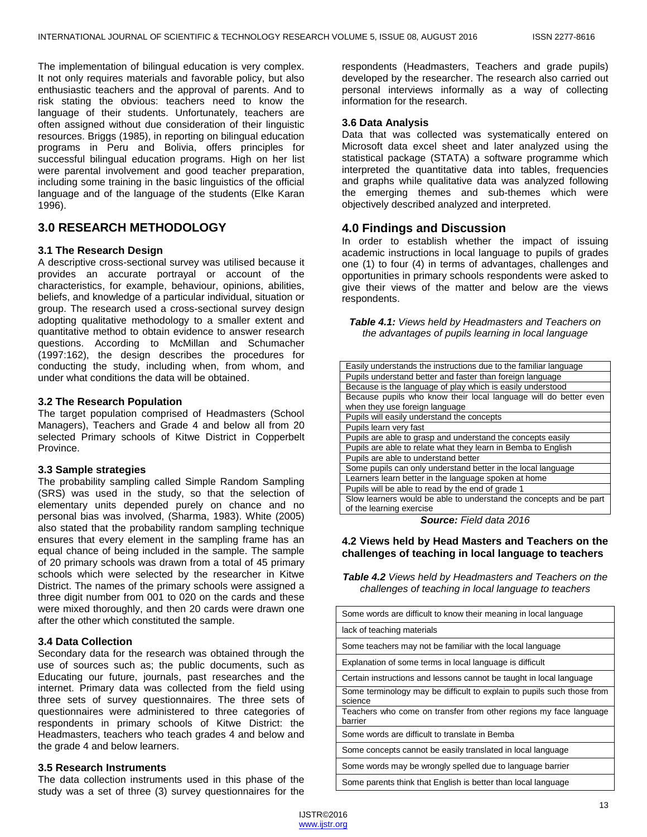The implementation of bilingual education is very complex. It not only requires materials and favorable policy, but also enthusiastic teachers and the approval of parents. And to risk stating the obvious: teachers need to know the language of their students. Unfortunately, teachers are often assigned without due consideration of their linguistic resources. Briggs (1985), in reporting on bilingual education programs in Peru and Bolivia, offers principles for successful bilingual education programs. High on her list were parental involvement and good teacher preparation, including some training in the basic linguistics of the official language and of the language of the students (Elke Karan 1996).

# **3.0 RESEARCH METHODOLOGY**

#### **3.1 The Research Design**

A descriptive cross-sectional survey was utilised because it provides an accurate portrayal or account of the characteristics, for example, behaviour, opinions, abilities, beliefs, and knowledge of a particular individual, situation or group. The research used a cross-sectional survey design adopting qualitative methodology to a smaller extent and quantitative method to obtain evidence to answer research questions. According to McMillan and Schumacher (1997:162), the design describes the procedures for conducting the study, including when, from whom, and under what conditions the data will be obtained.

#### **3.2 The Research Population**

The target population comprised of Headmasters (School Managers), Teachers and Grade 4 and below all from 20 selected Primary schools of Kitwe District in Copperbelt Province.

#### **3.3 Sample strategies**

The probability sampling called Simple Random Sampling (SRS) was used in the study, so that the selection of elementary units depended purely on chance and no personal bias was involved, (Sharma, 1983). White (2005) also stated that the probability random sampling technique ensures that every element in the sampling frame has an equal chance of being included in the sample. The sample of 20 primary schools was drawn from a total of 45 primary schools which were selected by the researcher in Kitwe District. The names of the primary schools were assigned a three digit number from 001 to 020 on the cards and these were mixed thoroughly, and then 20 cards were drawn one after the other which constituted the sample.

#### **3.4 Data Collection**

Secondary data for the research was obtained through the use of sources such as; the public documents, such as Educating our future, journals, past researches and the internet. Primary data was collected from the field using three sets of survey questionnaires. The three sets of questionnaires were administered to three categories of respondents in primary schools of Kitwe District: the Headmasters, teachers who teach grades 4 and below and the grade 4 and below learners.

#### **3.5 Research Instruments**

The data collection instruments used in this phase of the study was a set of three (3) survey questionnaires for the

respondents (Headmasters, Teachers and grade pupils) developed by the researcher. The research also carried out personal interviews informally as a way of collecting information for the research.

#### **3.6 Data Analysis**

Data that was collected was systematically entered on Microsoft data excel sheet and later analyzed using the statistical package (STATA) a software programme which interpreted the quantitative data into tables, frequencies and graphs while qualitative data was analyzed following the emerging themes and sub-themes which were objectively described analyzed and interpreted.

## **4.0 Findings and Discussion**

In order to establish whether the impact of issuing academic instructions in local language to pupils of grades one (1) to four (4) in terms of advantages, challenges and opportunities in primary schools respondents were asked to give their views of the matter and below are the views respondents.

*Table 4.1: Views held by Headmasters and Teachers on the advantages of pupils learning in local language*

| Easily understands the instructions due to the familiar language   |
|--------------------------------------------------------------------|
| Pupils understand better and faster than foreign language          |
| Because is the language of play which is easily understood         |
| Because pupils who know their local language will do better even   |
| when they use foreign language                                     |
| Pupils will easily understand the concepts                         |
| Pupils learn very fast                                             |
| Pupils are able to grasp and understand the concepts easily        |
| Pupils are able to relate what they learn in Bemba to English      |
| Pupils are able to understand better                               |
| Some pupils can only understand better in the local language       |
| Learners learn better in the language spoken at home               |
| Pupils will be able to read by the end of grade 1                  |
| Slow learners would be able to understand the concepts and be part |
| of the learning exercise                                           |

*Source: Field data 2016*

#### **4.2 Views held by Head Masters and Teachers on the challenges of teaching in local language to teachers**

*Table 4.2 Views held by Headmasters and Teachers on the challenges of teaching in local language to teachers*

| Some words are difficult to know their meaning in local language                  |
|-----------------------------------------------------------------------------------|
| lack of teaching materials                                                        |
| Some teachers may not be familiar with the local language                         |
| Explanation of some terms in local language is difficult                          |
| Certain instructions and lessons cannot be taught in local language               |
| Some terminology may be difficult to explain to pupils such those from<br>science |
| Teachers who come on transfer from other regions my face language<br>barrier      |
| Some words are difficult to translate in Bemba                                    |
| Some concepts cannot be easily translated in local language                       |
| Some words may be wrongly spelled due to language barrier                         |
| Some parents think that English is better than local language                     |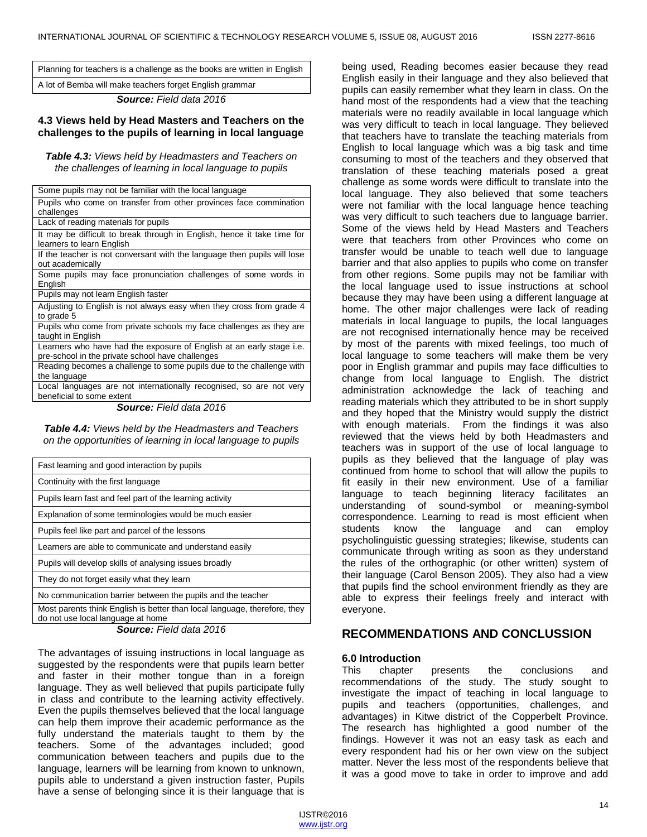Planning for teachers is a challenge as the books are written in English

A lot of Bemba will make teachers forget English grammar

*Source: Field data 2016*

#### **4.3 Views held by Head Masters and Teachers on the challenges to the pupils of learning in local language**

*Table 4.3: Views held by Headmasters and Teachers on the challenges of learning in local language to pupils*

| Some pupils may not be familiar with the local language                                                                  |
|--------------------------------------------------------------------------------------------------------------------------|
| Pupils who come on transfer from other provinces face commination                                                        |
| challenges                                                                                                               |
| Lack of reading materials for pupils                                                                                     |
| It may be difficult to break through in English, hence it take time for<br>learners to learn English                     |
| If the teacher is not conversant with the language then pupils will lose<br>out academically                             |
| Some pupils may face pronunciation challenges of some words in<br>English                                                |
| Pupils may not learn English faster                                                                                      |
| Adjusting to English is not always easy when they cross from grade 4<br>to grade 5                                       |
| Pupils who come from private schools my face challenges as they are<br>taught in English                                 |
| Learners who have had the exposure of English at an early stage i.e.<br>pre-school in the private school have challenges |
| Reading becomes a challenge to some pupils due to the challenge with<br>the language                                     |
| Local languages are not internationally recognised, so are not very<br>beneficial to some extent                         |
| <b>Source:</b> Field data 2016                                                                                           |

*Table 4.4: Views held by the Headmasters and Teachers on the opportunities of learning in local language to pupils*

| Fast learning and good interaction by pupils                                                                   |
|----------------------------------------------------------------------------------------------------------------|
| Continuity with the first language                                                                             |
| Pupils learn fast and feel part of the learning activity                                                       |
| Explanation of some terminologies would be much easier                                                         |
| Pupils feel like part and parcel of the lessons                                                                |
| Learners are able to communicate and understand easily                                                         |
| Pupils will develop skills of analysing issues broadly                                                         |
| They do not forget easily what they learn                                                                      |
| No communication barrier between the pupils and the teacher                                                    |
| Most parents think English is better than local language, therefore, they<br>do not use local language at home |

*Source: Field data 2016*

The advantages of issuing instructions in local language as suggested by the respondents were that pupils learn better and faster in their mother tongue than in a foreign language. They as well believed that pupils participate fully in class and contribute to the learning activity effectively. Even the pupils themselves believed that the local language can help them improve their academic performance as the fully understand the materials taught to them by the teachers. Some of the advantages included; good communication between teachers and pupils due to the language, learners will be learning from known to unknown, pupils able to understand a given instruction faster, Pupils have a sense of belonging since it is their language that is

being used, Reading becomes easier because they read English easily in their language and they also believed that pupils can easily remember what they learn in class. On the hand most of the respondents had a view that the teaching materials were no readily available in local language which was very difficult to teach in local language. They believed that teachers have to translate the teaching materials from English to local language which was a big task and time consuming to most of the teachers and they observed that translation of these teaching materials posed a great challenge as some words were difficult to translate into the local language. They also believed that some teachers were not familiar with the local language hence teaching was very difficult to such teachers due to language barrier. Some of the views held by Head Masters and Teachers were that teachers from other Provinces who come on transfer would be unable to teach well due to language barrier and that also applies to pupils who come on transfer from other regions. Some pupils may not be familiar with the local language used to issue instructions at school because they may have been using a different language at home. The other major challenges were lack of reading materials in local language to pupils, the local languages are not recognised internationally hence may be received by most of the parents with mixed feelings, too much of local language to some teachers will make them be very poor in English grammar and pupils may face difficulties to change from local language to English. The district administration acknowledge the lack of teaching and reading materials which they attributed to be in short supply and they hoped that the Ministry would supply the district with enough materials. From the findings it was also reviewed that the views held by both Headmasters and teachers was in support of the use of local language to pupils as they believed that the language of play was continued from home to school that will allow the pupils to fit easily in their new environment. Use of a familiar language to teach beginning literacy facilitates an understanding of sound-symbol or meaning-symbol correspondence. Learning to read is most efficient when students know the language and can employ psycholinguistic guessing strategies; likewise, students can communicate through writing as soon as they understand the rules of the orthographic (or other written) system of their language (Carol Benson 2005). They also had a view that pupils find the school environment friendly as they are able to express their feelings freely and interact with everyone.

# **RECOMMENDATIONS AND CONCLUSSION**

#### **6.0 Introduction**

This chapter presents the conclusions and recommendations of the study. The study sought to investigate the impact of teaching in local language to pupils and teachers (opportunities, challenges, and advantages) in Kitwe district of the Copperbelt Province. The research has highlighted a good number of the findings. However it was not an easy task as each and every respondent had his or her own view on the subject matter. Never the less most of the respondents believe that it was a good move to take in order to improve and add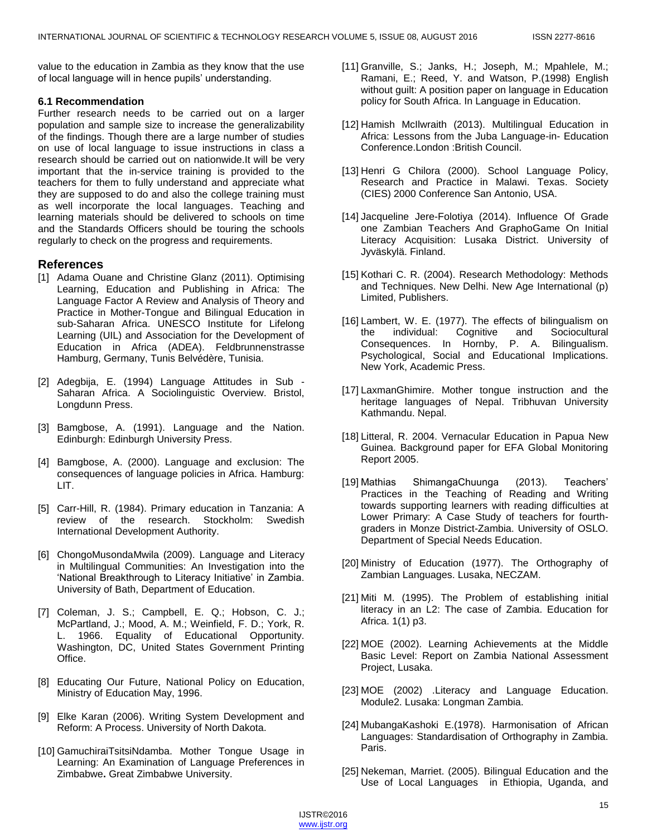value to the education in Zambia as they know that the use of local language will in hence pupils' understanding.

#### **6.1 Recommendation**

Further research needs to be carried out on a larger population and sample size to increase the generalizability of the findings. Though there are a large number of studies on use of local language to issue instructions in class a research should be carried out on nationwide.It will be very important that the in-service training is provided to the teachers for them to fully understand and appreciate what they are supposed to do and also the college training must as well incorporate the local languages. Teaching and learning materials should be delivered to schools on time and the Standards Officers should be touring the schools regularly to check on the progress and requirements.

## **References**

- [1] Adama Ouane and Christine Glanz (2011). Optimising Learning, Education and Publishing in Africa: The Language Factor A Review and Analysis of Theory and Practice in Mother-Tongue and Bilingual Education in sub-Saharan Africa. UNESCO Institute for Lifelong Learning (UIL) and Association for the Development of Education in Africa (ADEA). Feldbrunnenstrasse Hamburg, Germany, Tunis Belvédère, Tunisia.
- [2] Adegbija, E. (1994) Language Attitudes in Sub Saharan Africa. A Sociolinguistic Overview. Bristol, Longdunn Press.
- [3] Bamgbose, A. (1991). Language and the Nation. Edinburgh: Edinburgh University Press.
- [4] Bamgbose, A. (2000). Language and exclusion: The consequences of language policies in Africa. Hamburg: LIT.
- [5] Carr-Hill, R. (1984). Primary education in Tanzania: A review of the research. Stockholm: Swedish International Development Authority.
- [6] ChongoMusondaMwila (2009). Language and Literacy in Multilingual Communities: An Investigation into the ‗National Breakthrough to Literacy Initiative' in Zambia. University of Bath, Department of Education.
- [7] Coleman, J. S.; Campbell, E. Q.; Hobson, C. J.; McPartland, J.; Mood, A. M.; Weinfield, F. D.; York, R. L. 1966. Equality of Educational Opportunity. Washington, DC, United States Government Printing Office.
- [8] Educating Our Future, National Policy on Education, Ministry of Education May, 1996.
- [9] Elke Karan (2006). Writing System Development and Reform: A Process. University of North Dakota.
- [10] GamuchiraiTsitsiNdamba. Mother Tongue Usage in Learning: An Examination of Language Preferences in Zimbabwe**.** Great Zimbabwe University.
- [11] Granville, S.; Janks, H.; Joseph, M.; Mpahlele, M.; Ramani, E.; Reed, Y. and Watson, P.(1998) English without guilt: A position paper on language in Education policy for South Africa. In Language in Education.
- [12] Hamish McIlwraith (2013). Multilingual Education in Africa: Lessons from the Juba Language-in- Education Conference.London :British Council.
- [13] Henri G Chilora (2000). School Language Policy, Research and Practice in Malawi. Texas. Society (CIES) 2000 Conference San Antonio, USA.
- [14] Jacqueline Jere-Folotiya (2014). Influence Of Grade one Zambian Teachers And GraphoGame On Initial Literacy Acquisition: Lusaka District. University of Jyväskylä. Finland.
- [15] Kothari C. R. (2004). Research Methodology: Methods and Techniques. New Delhi. New Age International (p) Limited, Publishers.
- [16] Lambert, W. E. (1977). The effects of bilingualism on the individual: Cognitive and Sociocultural Consequences. In Hornby, P. A. Bilingualism. Psychological, Social and Educational Implications. New York, Academic Press.
- [17] LaxmanGhimire. Mother tongue instruction and the heritage languages of Nepal. Tribhuvan University Kathmandu. Nepal.
- [18] Litteral, R. 2004. Vernacular Education in Papua New Guinea. Background paper for EFA Global Monitoring Report 2005.
- [19] Mathias ShimangaChuunga (2013). Teachers' Practices in the Teaching of Reading and Writing towards supporting learners with reading difficulties at Lower Primary: A Case Study of teachers for fourthgraders in Monze District-Zambia. University of OSLO. Department of Special Needs Education.
- [20] Ministry of Education (1977). The Orthography of Zambian Languages. Lusaka, NECZAM.
- [21] Miti M. (1995). The Problem of establishing initial literacy in an L2: The case of Zambia. Education for Africa. 1(1) p3.
- [22] MOE (2002). Learning Achievements at the Middle Basic Level: Report on Zambia National Assessment Project, Lusaka.
- [23] MOE (2002) .Literacy and Language Education. Module2. Lusaka: Longman Zambia.
- [24] MubangaKashoki E.(1978). Harmonisation of African Languages: Standardisation of Orthography in Zambia. Paris.
- [25] Nekeman, Marriet. (2005). Bilingual Education and the Use of Local Languages in Ethiopia, Uganda, and